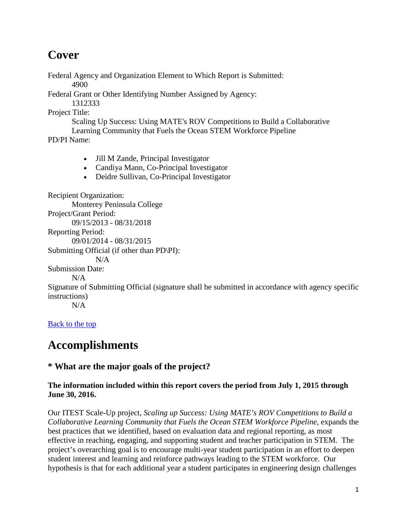# **Cover**

Federal Agency and Organization Element to Which Report is Submitted: 4900

Federal Grant or Other Identifying Number Assigned by Agency: 1312333

Project Title:

Scaling Up Success: Using MATE's ROV Competitions to Build a Collaborative Learning Community that Fuels the Ocean STEM Workforce Pipeline

PD/PI Name:

- Jill M Zande, Principal Investigator
- Candiya Mann, Co-Principal Investigator
- Deidre Sullivan, Co-Principal Investigator

Recipient Organization: Monterey Peninsula College Project/Grant Period: 09/15/2013 - 08/31/2018 Reporting Period: 09/01/2014 - 08/31/2015 Submitting Official (if other than PD\PI):  $N/A$ Submission Date:  $N/A$ Signature of Submitting Official (signature shall be submitted in accordance with agency specific instructions)  $N/A$ [Back to the top](https://reporting.research.gov/rppr-web/rppr?execution=e1s32#top)

# **Accomplishments**

# **\* What are the major goals of the project?**

### **The information included within this report covers the period from July 1, 2015 through June 30, 2016.**

Our ITEST Scale-Up project, *Scaling up Success: Using MATE's ROV Competitions to Build a Collaborative Learning Community that Fuels the Ocean STEM Workforce Pipeline*, expands the best practices that we identified, based on evaluation data and regional reporting, as most effective in reaching, engaging, and supporting student and teacher participation in STEM. The project's overarching goal is to encourage multi-year student participation in an effort to deepen student interest and learning and reinforce pathways leading to the STEM workforce. Our hypothesis is that for each additional year a student participates in engineering design challenges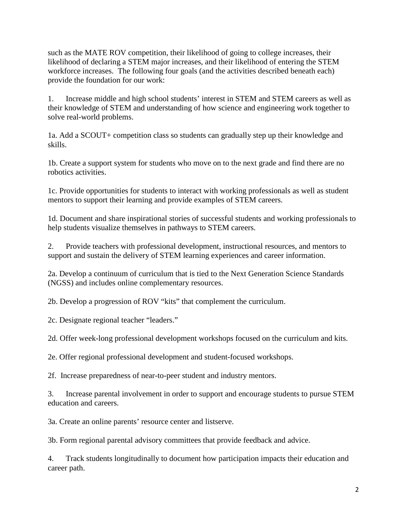such as the MATE ROV competition, their likelihood of going to college increases, their likelihood of declaring a STEM major increases, and their likelihood of entering the STEM workforce increases. The following four goals (and the activities described beneath each) provide the foundation for our work:

1. Increase middle and high school students' interest in STEM and STEM careers as well as their knowledge of STEM and understanding of how science and engineering work together to solve real-world problems.

1a. Add a SCOUT+ competition class so students can gradually step up their knowledge and skills.

1b. Create a support system for students who move on to the next grade and find there are no robotics activities.

1c. Provide opportunities for students to interact with working professionals as well as student mentors to support their learning and provide examples of STEM careers.

1d. Document and share inspirational stories of successful students and working professionals to help students visualize themselves in pathways to STEM careers.

2. Provide teachers with professional development, instructional resources, and mentors to support and sustain the delivery of STEM learning experiences and career information.

2a. Develop a continuum of curriculum that is tied to the Next Generation Science Standards (NGSS) and includes online complementary resources.

2b. Develop a progression of ROV "kits" that complement the curriculum.

2c. Designate regional teacher "leaders."

2d. Offer week-long professional development workshops focused on the curriculum and kits.

2e. Offer regional professional development and student-focused workshops.

2f. Increase preparedness of near-to-peer student and industry mentors.

3. Increase parental involvement in order to support and encourage students to pursue STEM education and careers.

3a. Create an online parents' resource center and listserve.

3b. Form regional parental advisory committees that provide feedback and advice.

4. Track students longitudinally to document how participation impacts their education and career path.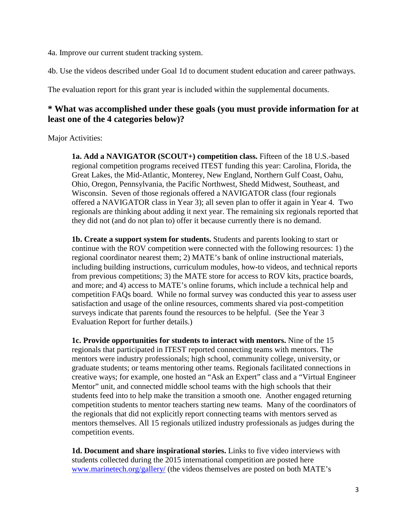4a. Improve our current student tracking system.

4b. Use the videos described under Goal 1d to document student education and career pathways.

The evaluation report for this grant year is included within the supplemental documents.

### **\* What was accomplished under these goals (you must provide information for at least one of the 4 categories below)?**

Major Activities:

**1a. Add a NAVIGATOR (SCOUT+) competition class.** Fifteen of the 18 U.S.-based regional competition programs received ITEST funding this year: Carolina, Florida, the Great Lakes, the Mid-Atlantic, Monterey, New England, Northern Gulf Coast, Oahu, Ohio, Oregon, Pennsylvania, the Pacific Northwest, Shedd Midwest, Southeast, and Wisconsin. Seven of those regionals offered a NAVIGATOR class (four regionals offered a NAVIGATOR class in Year 3); all seven plan to offer it again in Year 4. Two regionals are thinking about adding it next year. The remaining six regionals reported that they did not (and do not plan to) offer it because currently there is no demand.

**1b. Create a support system for students.** Students and parents looking to start or continue with the ROV competition were connected with the following resources: 1) the regional coordinator nearest them; 2) MATE's bank of online instructional materials, including building instructions, curriculum modules, how-to videos, and technical reports from previous competitions; 3) the MATE store for access to ROV kits, practice boards, and more; and 4) access to MATE's online forums, which include a technical help and competition FAQs board. While no formal survey was conducted this year to assess user satisfaction and usage of the online resources, comments shared via post-competition surveys indicate that parents found the resources to be helpful. (See the Year 3 Evaluation Report for further details.)

**1c. Provide opportunities for students to interact with mentors.** Nine of the 15 regionals that participated in ITEST reported connecting teams with mentors. The mentors were industry professionals; high school, community college, university, or graduate students; or teams mentoring other teams. Regionals facilitated connections in creative ways; for example, one hosted an "Ask an Expert" class and a "Virtual Engineer Mentor" unit, and connected middle school teams with the high schools that their students feed into to help make the transition a smooth one. Another engaged returning competition students to mentor teachers starting new teams. Many of the coordinators of the regionals that did not explicitly report connecting teams with mentors served as mentors themselves. All 15 regionals utilized industry professionals as judges during the competition events.

**1d. Document and share inspirational stories.** Links to five video interviews with students collected during the 2015 international competition are posted here [www.marinetech.org/gallery/](http://www.marinetech.org/gallery/) (the videos themselves are posted on both MATE's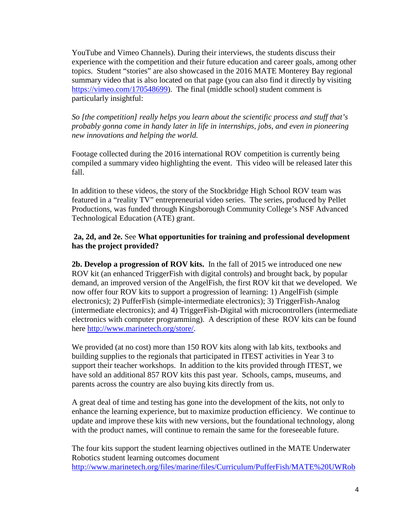YouTube and Vimeo Channels). During their interviews, the students discuss their experience with the competition and their future education and career goals, among other topics. Student "stories" are also showcased in the 2016 MATE Monterey Bay regional summary video that is also located on that page (you can also find it directly by visiting [https://vimeo.com/170548699\)](https://vimeo.com/170548699). The final (middle school) student comment is particularly insightful:

*So [the competition] really helps you learn about the scientific process and stuff that's probably gonna come in handy later in life in internships, jobs, and even in pioneering new innovations and helping the world.* 

Footage collected during the 2016 international ROV competition is currently being compiled a summary video highlighting the event. This video will be released later this fall.

In addition to these videos, the story of the Stockbridge High School ROV team was featured in a "reality TV" entrepreneurial video series. The series, produced by Pellet Productions, was funded through Kingsborough Community College's NSF Advanced Technological Education (ATE) grant.

#### **2a, 2d, and 2e.** See **What opportunities for training and professional development has the project provided?**

**2b. Develop a progression of ROV kits.** In the fall of 2015 we introduced one new ROV kit (an enhanced TriggerFish with digital controls) and brought back, by popular demand, an improved version of the AngelFish, the first ROV kit that we developed. We now offer four ROV kits to support a progression of learning: 1) AngelFish (simple electronics); 2) PufferFish (simple-intermediate electronics); 3) TriggerFish-Analog (intermediate electronics); and 4) TriggerFish-Digital with microcontrollers (intermediate electronics with computer programming). A description of these ROV kits can be found here [http://www.marinetech.org/store/.](http://www.marinetech.org/store/)

We provided (at no cost) more than 150 ROV kits along with lab kits, textbooks and building supplies to the regionals that participated in ITEST activities in Year 3 to support their teacher workshops. In addition to the kits provided through ITEST, we have sold an additional 857 ROV kits this past year. Schools, camps, museums, and parents across the country are also buying kits directly from us.

A great deal of time and testing has gone into the development of the kits, not only to enhance the learning experience, but to maximize production efficiency. We continue to update and improve these kits with new versions, but the foundational technology, along with the product names, will continue to remain the same for the foreseeable future.

The four kits support the student learning objectives outlined in the MATE Underwater Robotics student learning outcomes document [http://www.marinetech.org/files/marine/files/Curriculum/PufferFish/MATE%20UWRob](http://www.marinetech.org/files/marine/files/Curriculum/PufferFish/MATE%20UWRobotics%20Learning%20Objectives.pdf)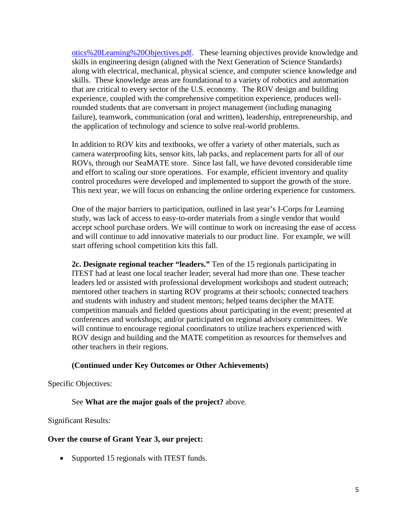[otics%20Learning%20Objectives.pdf.](http://www.marinetech.org/files/marine/files/Curriculum/PufferFish/MATE%20UWRobotics%20Learning%20Objectives.pdf) These learning objectives provide knowledge and skills in engineering design (aligned with the Next Generation of Science Standards) along with electrical, mechanical, physical science, and computer science knowledge and skills. These knowledge areas are foundational to a variety of robotics and automation that are critical to every sector of the U.S. economy. The ROV design and building experience, coupled with the comprehensive competition experience, produces wellrounded students that are conversant in project management (including managing failure), teamwork, communication (oral and written), leadership, entrepreneurship, and the application of technology and science to solve real-world problems.

In addition to ROV kits and textbooks, we offer a variety of other materials, such as camera waterproofing kits, sensor kits, lab packs, and replacement parts for all of our ROVs, through our SeaMATE store. Since last fall, we have devoted considerable time and effort to scaling our store operations. For example, efficient inventory and quality control procedures were developed and implemented to support the growth of the store. This next year, we will focus on enhancing the online ordering experience for customers.

One of the major barriers to participation, outlined in last year's I-Corps for Learning study, was lack of access to easy-to-order materials from a single vendor that would accept school purchase orders. We will continue to work on increasing the ease of access and will continue to add innovative materials to our product line. For example, we will start offering school competition kits this fall.

**2c. Designate regional teacher "leaders."** Ten of the 15 regionals participating in ITEST had at least one local teacher leader; several had more than one. These teacher leaders led or assisted with professional development workshops and student outreach; mentored other teachers in starting ROV programs at their schools; connected teachers and students with industry and student mentors; helped teams decipher the MATE competition manuals and fielded questions about participating in the event; presented at conferences and workshops; and/or participated on regional advisory committees. We will continue to encourage regional coordinators to utilize teachers experienced with ROV design and building and the MATE competition as resources for themselves and other teachers in their regions.

#### **(Continued under Key Outcomes or Other Achievements)**

Specific Objectives:

See **What are the major goals of the project?** above.

Significant Results:

#### **Over the course of Grant Year 3, our project:**

• Supported 15 regionals with ITEST funds.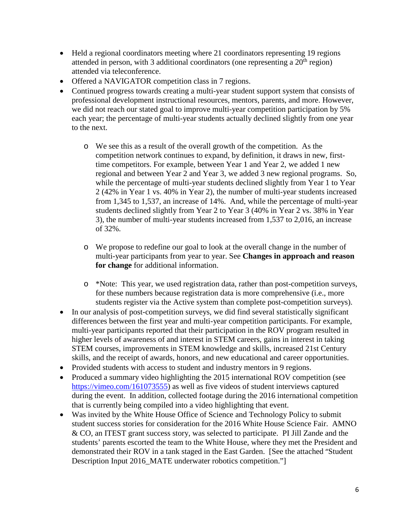- Held a regional coordinators meeting where 21 coordinators representing 19 regions attended in person, with 3 additional coordinators (one representing a  $20<sup>th</sup>$  region) attended via teleconference.
- Offered a NAVIGATOR competition class in 7 regions.
- Continued progress towards creating a multi-year student support system that consists of professional development instructional resources, mentors, parents, and more. However, we did not reach our stated goal to improve multi-year competition participation by 5% each year; the percentage of multi-year students actually declined slightly from one year to the next.
	- o We see this as a result of the overall growth of the competition. As the competition network continues to expand, by definition, it draws in new, firsttime competitors. For example, between Year 1 and Year 2, we added 1 new regional and between Year 2 and Year 3, we added 3 new regional programs. So, while the percentage of multi-year students declined slightly from Year 1 to Year 2 (42% in Year 1 vs. 40% in Year 2), the number of multi-year students increased from 1,345 to 1,537, an increase of 14%. And, while the percentage of multi-year students declined slightly from Year 2 to Year 3 (40% in Year 2 vs. 38% in Year 3), the number of multi-year students increased from 1,537 to 2,016, an increase of 32%.
	- o We propose to redefine our goal to look at the overall change in the number of multi-year participants from year to year. See **Changes in approach and reason for change** for additional information.
	- o \*Note: This year, we used registration data, rather than post-competition surveys, for these numbers because registration data is more comprehensive (i.e., more students register via the Active system than complete post-competition surveys).
- In our analysis of post-competition surveys, we did find several statistically significant differences between the first year and multi-year competition participants. For example, multi-year participants reported that their participation in the ROV program resulted in higher levels of awareness of and interest in STEM careers, gains in interest in taking STEM courses, improvements in STEM knowledge and skills, increased 21st Century skills, and the receipt of awards, honors, and new educational and career opportunities.
- Provided students with access to student and industry mentors in 9 regions.
- Produced a summary video highlighting the 2015 international ROV competition (see [https://vimeo.com/161073555\)](https://vimeo.com/161073555) as well as five videos of student interviews captured during the event. In addition, collected footage during the 2016 international competition that is currently being compiled into a video highlighting that event.
- Was invited by the White House Office of Science and Technology Policy to submit student success stories for consideration for the 2016 White House Science Fair. AMNO & CO, an ITEST grant success story, was selected to participate. PI Jill Zande and the students' parents escorted the team to the White House, where they met the President and demonstrated their ROV in a tank staged in the East Garden. [See the attached "Student Description Input 2016\_MATE underwater robotics competition."]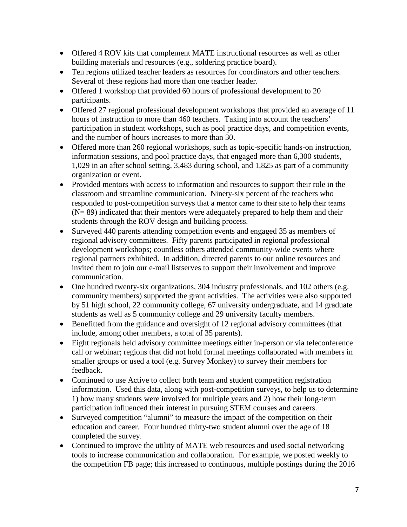- Offered 4 ROV kits that complement MATE instructional resources as well as other building materials and resources (e.g., soldering practice board).
- Ten regions utilized teacher leaders as resources for coordinators and other teachers. Several of these regions had more than one teacher leader.
- Offered 1 workshop that provided 60 hours of professional development to 20 participants.
- Offered 27 regional professional development workshops that provided an average of 11 hours of instruction to more than 460 teachers. Taking into account the teachers' participation in student workshops, such as pool practice days, and competition events, and the number of hours increases to more than 30.
- Offered more than 260 regional workshops, such as topic-specific hands-on instruction, information sessions, and pool practice days, that engaged more than 6,300 students, 1,029 in an after school setting, 3,483 during school, and 1,825 as part of a community organization or event.
- Provided mentors with access to information and resources to support their role in the classroom and streamline communication. Ninety-six percent of the teachers who responded to post-competition surveys that a mentor came to their site to help their teams  $(N= 89)$  indicated that their mentors were adequately prepared to help them and their students through the ROV design and building process.
- Surveyed 440 parents attending competition events and engaged 35 as members of regional advisory committees. Fifty parents participated in regional professional development workshops; countless others attended community-wide events where regional partners exhibited. In addition, directed parents to our online resources and invited them to join our e-mail listserves to support their involvement and improve communication.
- One hundred twenty-six organizations, 304 industry professionals, and 102 others (e.g. community members) supported the grant activities. The activities were also supported by 51 high school, 22 community college, 67 university undergraduate, and 14 graduate students as well as 5 community college and 29 university faculty members.
- Benefitted from the guidance and oversight of 12 regional advisory committees (that include, among other members, a total of 35 parents).
- Eight regionals held advisory committee meetings either in-person or via teleconference call or webinar; regions that did not hold formal meetings collaborated with members in smaller groups or used a tool (e.g. Survey Monkey) to survey their members for feedback.
- Continued to use Active to collect both team and student competition registration information. Used this data, along with post-competition surveys, to help us to determine 1) how many students were involved for multiple years and 2) how their long-term participation influenced their interest in pursuing STEM courses and careers.
- Surveyed competition "alumni" to measure the impact of the competition on their education and career. Four hundred thirty-two student alumni over the age of 18 completed the survey.
- Continued to improve the utility of MATE web resources and used social networking tools to increase communication and collaboration. For example, we posted weekly to the competition FB page; this increased to continuous, multiple postings during the 2016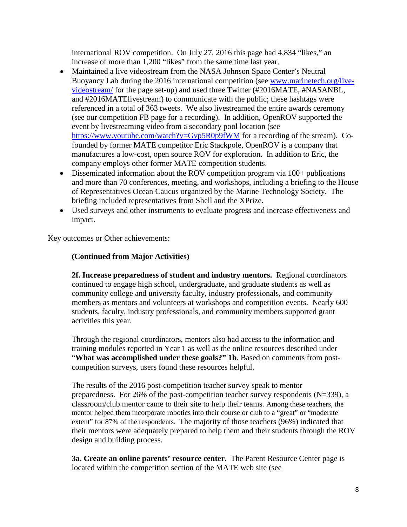international ROV competition. On July 27, 2016 this page had 4,834 "likes," an increase of more than 1,200 "likes" from the same time last year.

- Maintained a live videostream from the NASA Johnson Space Center's Neutral Buoyancy Lab during the 2016 international competition (see [www.marinetech.org/live](http://www.marinetech.org/live-videostream/)[videostream/](http://www.marinetech.org/live-videostream/) for the page set-up) and used three Twitter (#2016MATE, #NASANBL, and #2016MATElivestream) to communicate with the public; these hashtags were referenced in a total of 363 tweets. We also livestreamed the entire awards ceremony (see our competition FB page for a recording). In addition, OpenROV supported the event by livestreaming video from a secondary pool location (see <https://www.youtube.com/watch?v=Gvp5R0p9fWM> for a recording of the stream). Cofounded by former MATE competitor Eric Stackpole, OpenROV is a company that manufactures a low-cost, open source ROV for exploration. In addition to Eric, the company employs other former MATE competition students.
- Disseminated information about the ROV competition program via 100+ publications and more than 70 conferences, meeting, and workshops, including a briefing to the House of Representatives Ocean Caucus organized by the Marine Technology Society. The briefing included representatives from Shell and the XPrize.
- Used surveys and other instruments to evaluate progress and increase effectiveness and impact.

Key outcomes or Other achievements:

#### **(Continued from Major Activities)**

**2f. Increase preparedness of student and industry mentors.** Regional coordinators continued to engage high school, undergraduate, and graduate students as well as community college and university faculty, industry professionals, and community members as mentors and volunteers at workshops and competition events. Nearly 600 students, faculty, industry professionals, and community members supported grant activities this year.

Through the regional coordinators, mentors also had access to the information and training modules reported in Year 1 as well as the online resources described under "**What was accomplished under these goals?" 1b**. Based on comments from postcompetition surveys, users found these resources helpful.

The results of the 2016 post-competition teacher survey speak to mentor preparedness. For 26% of the post-competition teacher survey respondents (N=339), a classroom/club mentor came to their site to help their teams. Among these teachers, the mentor helped them incorporate robotics into their course or club to a "great" or "moderate extent" for 87% of the respondents. The majority of those teachers (96%) indicated that their mentors were adequately prepared to help them and their students through the ROV design and building process.

**3a. Create an online parents' resource center.** The Parent Resource Center page is located within the competition section of the MATE web site (see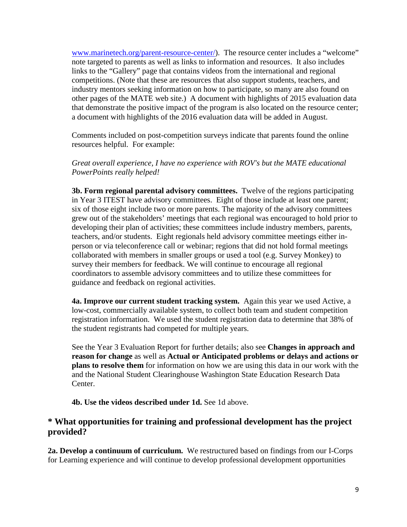[www.marinetech.org/parent-resource-center/\)](http://www.marinetech.org/parent-resource-center/). The resource center includes a "welcome" note targeted to parents as well as links to information and resources. It also includes links to the "Gallery" page that contains videos from the international and regional competitions. (Note that these are resources that also support students, teachers, and industry mentors seeking information on how to participate, so many are also found on other pages of the MATE web site.) A document with highlights of 2015 evaluation data that demonstrate the positive impact of the program is also located on the resource center; a document with highlights of the 2016 evaluation data will be added in August.

Comments included on post-competition surveys indicate that parents found the online resources helpful. For example:

*Great overall experience, I have no experience with ROV's but the MATE educational PowerPoints really helped!*

**3b. Form regional parental advisory committees.** Twelve of the regions participating in Year 3 ITEST have advisory committees. Eight of those include at least one parent; six of those eight include two or more parents. The majority of the advisory committees grew out of the stakeholders' meetings that each regional was encouraged to hold prior to developing their plan of activities; these committees include industry members, parents, teachers, and/or students. Eight regionals held advisory committee meetings either inperson or via teleconference call or webinar; regions that did not hold formal meetings collaborated with members in smaller groups or used a tool (e.g. Survey Monkey) to survey their members for feedback. We will continue to encourage all regional coordinators to assemble advisory committees and to utilize these committees for guidance and feedback on regional activities.

**4a. Improve our current student tracking system.** Again this year we used Active, a low-cost, commercially available system, to collect both team and student competition registration information. We used the student registration data to determine that 38% of the student registrants had competed for multiple years.

See the Year 3 Evaluation Report for further details; also see **Changes in approach and reason for change** as well as **Actual or Anticipated problems or delays and actions or plans to resolve them** for information on how we are using this data in our work with the and the National Student Clearinghouse Washington State Education Research Data Center.

**4b. Use the videos described under 1d. See 1d above.** 

#### **\* What opportunities for training and professional development has the project provided?**

**2a. Develop a continuum of curriculum.** We restructured based on findings from our I-Corps for Learning experience and will continue to develop professional development opportunities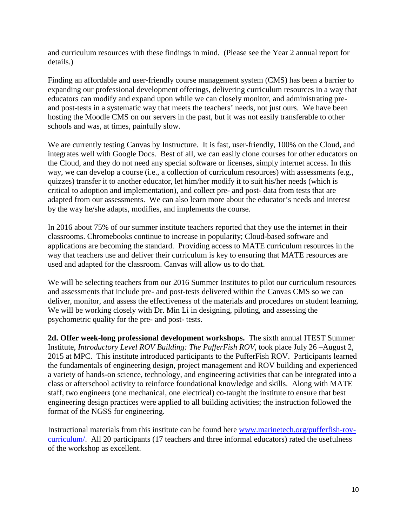and curriculum resources with these findings in mind. (Please see the Year 2 annual report for details.)

Finding an affordable and user-friendly course management system (CMS) has been a barrier to expanding our professional development offerings, delivering curriculum resources in a way that educators can modify and expand upon while we can closely monitor, and administrating preand post-tests in a systematic way that meets the teachers' needs, not just ours. We have been hosting the Moodle CMS on our servers in the past, but it was not easily transferable to other schools and was, at times, painfully slow.

We are currently testing Canvas by Instructure. It is fast, user-friendly, 100% on the Cloud, and integrates well with Google Docs. Best of all, we can easily clone courses for other educators on the Cloud, and they do not need any special software or licenses, simply internet access. In this way, we can develop a course (i.e., a collection of curriculum resources) with assessments (e.g., quizzes) transfer it to another educator, let him/her modify it to suit his/her needs (which is critical to adoption and implementation), and collect pre- and post- data from tests that are adapted from our assessments. We can also learn more about the educator's needs and interest by the way he/she adapts, modifies, and implements the course.

In 2016 about 75% of our summer institute teachers reported that they use the internet in their classrooms. Chromebooks continue to increase in popularity; Cloud-based software and applications are becoming the standard. Providing access to MATE curriculum resources in the way that teachers use and deliver their curriculum is key to ensuring that MATE resources are used and adapted for the classroom. Canvas will allow us to do that.

We will be selecting teachers from our 2016 Summer Institutes to pilot our curriculum resources and assessments that include pre- and post-tests delivered within the Canvas CMS so we can deliver, monitor, and assess the effectiveness of the materials and procedures on student learning. We will be working closely with Dr. Min Li in designing, piloting, and assessing the psychometric quality for the pre- and post- tests.

**2d. Offer week-long professional development workshops.** The sixth annual ITEST Summer Institute, *Introductory Level ROV Building: The PufferFish ROV*, took place July 26 –August 2, 2015 at MPC. This institute introduced participants to the PufferFish ROV. Participants learned the fundamentals of engineering design, project management and ROV building and experienced a variety of hands-on science, technology, and engineering activities that can be integrated into a class or afterschool activity to reinforce foundational knowledge and skills. Along with MATE staff, two engineers (one mechanical, one electrical) co-taught the institute to ensure that best engineering design practices were applied to all building activities; the instruction followed the format of the NGSS for engineering.

Instructional materials from this institute can be found here [www.marinetech.org/pufferfish-rov](http://www.marinetech.org/pufferfish-rov-curriculum/)[curriculum/.](http://www.marinetech.org/pufferfish-rov-curriculum/) All 20 participants (17 teachers and three informal educators) rated the usefulness of the workshop as excellent.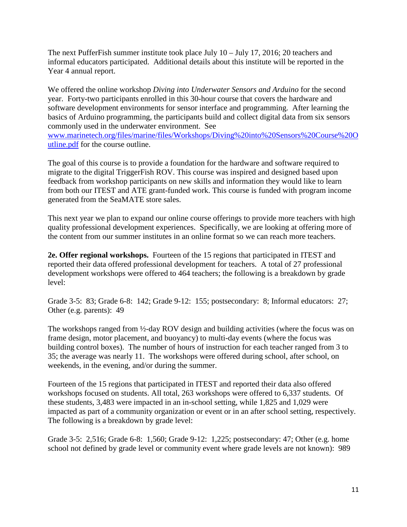The next PufferFish summer institute took place July 10 – July 17, 2016; 20 teachers and informal educators participated. Additional details about this institute will be reported in the Year 4 annual report.

We offered the online workshop *Diving into Underwater Sensors and Arduino* for the second year. Forty-two participants enrolled in this 30-hour course that covers the hardware and software development environments for sensor interface and programming. After learning the basics of Arduino programming, the participants build and collect digital data from six sensors commonly used in the underwater environment. See [www.marinetech.org/files/marine/files/Workshops/Diving%20into%20Sensors%20Course%20O](http://www.marinetech.org/files/marine/files/Workshops/Diving%20into%20Sensors%20Course%20Outline.pdf) [utline.pdf](http://www.marinetech.org/files/marine/files/Workshops/Diving%20into%20Sensors%20Course%20Outline.pdf) for the course outline.

The goal of this course is to provide a foundation for the hardware and software required to migrate to the digital TriggerFish ROV. This course was inspired and designed based upon feedback from workshop participants on new skills and information they would like to learn from both our ITEST and ATE grant-funded work. This course is funded with program income generated from the SeaMATE store sales.

This next year we plan to expand our online course offerings to provide more teachers with high quality professional development experiences. Specifically, we are looking at offering more of the content from our summer institutes in an online format so we can reach more teachers.

**2e. Offer regional workshops.** Fourteen of the 15 regions that participated in ITEST and reported their data offered professional development for teachers. A total of 27 professional development workshops were offered to 464 teachers; the following is a breakdown by grade level:

Grade 3-5: 83; Grade 6-8: 142; Grade 9-12: 155; postsecondary: 8; Informal educators: 27; Other (e.g. parents): 49

The workshops ranged from ½-day ROV design and building activities (where the focus was on frame design, motor placement, and buoyancy) to multi-day events (where the focus was building control boxes). The number of hours of instruction for each teacher ranged from 3 to 35; the average was nearly 11. The workshops were offered during school, after school, on weekends, in the evening, and/or during the summer.

Fourteen of the 15 regions that participated in ITEST and reported their data also offered workshops focused on students. All total, 263 workshops were offered to 6,337 students. Of these students, 3,483 were impacted in an in-school setting, while 1,825 and 1,029 were impacted as part of a community organization or event or in an after school setting, respectively. The following is a breakdown by grade level:

Grade 3-5: 2,516; Grade 6-8: 1,560; Grade 9-12: 1,225; postsecondary: 47; Other (e.g. home school not defined by grade level or community event where grade levels are not known): 989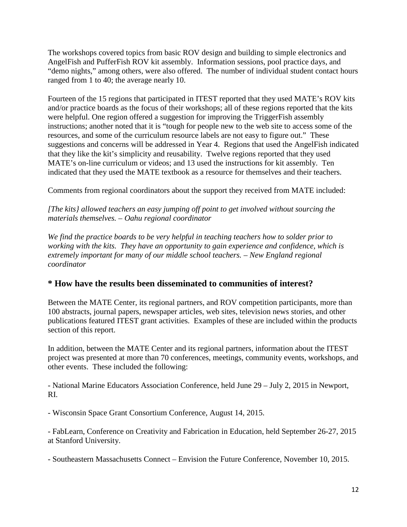The workshops covered topics from basic ROV design and building to simple electronics and AngelFish and PufferFish ROV kit assembly. Information sessions, pool practice days, and "demo nights," among others, were also offered. The number of individual student contact hours ranged from 1 to 40; the average nearly 10.

Fourteen of the 15 regions that participated in ITEST reported that they used MATE's ROV kits and/or practice boards as the focus of their workshops; all of these regions reported that the kits were helpful. One region offered a suggestion for improving the TriggerFish assembly instructions; another noted that it is "tough for people new to the web site to access some of the resources, and some of the curriculum resource labels are not easy to figure out." These suggestions and concerns will be addressed in Year 4. Regions that used the AngelFish indicated that they like the kit's simplicity and reusability. Twelve regions reported that they used MATE's on-line curriculum or videos; and 13 used the instructions for kit assembly. Ten indicated that they used the MATE textbook as a resource for themselves and their teachers.

Comments from regional coordinators about the support they received from MATE included:

*[The kits} allowed teachers an easy jumping off point to get involved without sourcing the materials themselves. – Oahu regional coordinator*

*We find the practice boards to be very helpful in teaching teachers how to solder prior to working with the kits. They have an opportunity to gain experience and confidence, which is extremely important for many of our middle school teachers. – New England regional coordinator* 

## **\* How have the results been disseminated to communities of interest?**

Between the MATE Center, its regional partners, and ROV competition participants, more than 100 abstracts, journal papers, newspaper articles, web sites, television news stories, and other publications featured ITEST grant activities. Examples of these are included within the products section of this report.

In addition, between the MATE Center and its regional partners, information about the ITEST project was presented at more than 70 conferences, meetings, community events, workshops, and other events. These included the following:

- National Marine Educators Association Conference, held June 29 – July 2, 2015 in Newport, RI.

- Wisconsin Space Grant Consortium Conference, August 14, 2015.

- FabLearn, Conference on Creativity and Fabrication in Education, held September 26-27, 2015 at Stanford University.

- Southeastern Massachusetts Connect – Envision the Future Conference, November 10, 2015.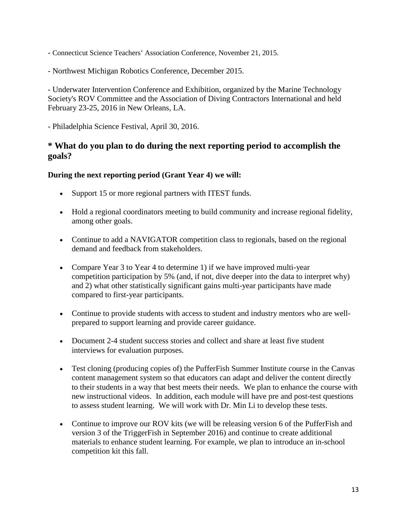- Connecticut Science Teachers' Association Conference, November 21, 2015.
- Northwest Michigan Robotics Conference, December 2015.

- Underwater Intervention Conference and Exhibition, organized by the Marine Technology Society's ROV Committee and the Association of Diving Contractors International and held February 23-25, 2016 in New Orleans, LA.

- Philadelphia Science Festival, April 30, 2016.

### **\* What do you plan to do during the next reporting period to accomplish the goals?**

#### **During the next reporting period (Grant Year 4) we will:**

- Support 15 or more regional partners with ITEST funds.
- Hold a regional coordinators meeting to build community and increase regional fidelity, among other goals.
- Continue to add a NAVIGATOR competition class to regionals, based on the regional demand and feedback from stakeholders.
- Compare Year 3 to Year 4 to determine 1) if we have improved multi-year competition participation by 5% (and, if not, dive deeper into the data to interpret why) and 2) what other statistically significant gains multi-year participants have made compared to first-year participants.
- Continue to provide students with access to student and industry mentors who are wellprepared to support learning and provide career guidance.
- Document 2-4 student success stories and collect and share at least five student interviews for evaluation purposes.
- Test cloning (producing copies of) the PufferFish Summer Institute course in the Canvas content management system so that educators can adapt and deliver the content directly to their students in a way that best meets their needs. We plan to enhance the course with new instructional videos. In addition, each module will have pre and post-test questions to assess student learning. We will work with Dr. Min Li to develop these tests.
- Continue to improve our ROV kits (we will be releasing version 6 of the PufferFish and version 3 of the TriggerFish in September 2016) and continue to create additional materials to enhance student learning. For example, we plan to introduce an in-school competition kit this fall.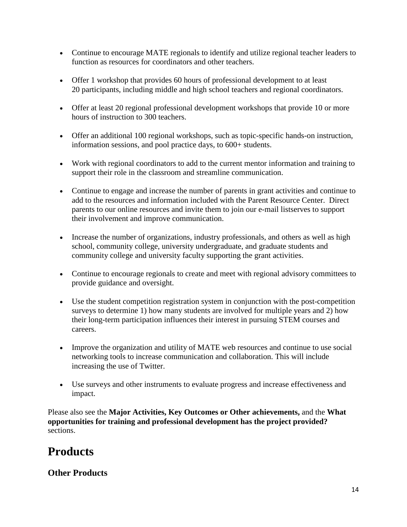- Continue to encourage MATE regionals to identify and utilize regional teacher leaders to function as resources for coordinators and other teachers.
- Offer 1 workshop that provides 60 hours of professional development to at least 20 participants, including middle and high school teachers and regional coordinators.
- Offer at least 20 regional professional development workshops that provide 10 or more hours of instruction to 300 teachers.
- Offer an additional 100 regional workshops, such as topic-specific hands-on instruction, information sessions, and pool practice days, to 600+ students.
- Work with regional coordinators to add to the current mentor information and training to support their role in the classroom and streamline communication.
- Continue to engage and increase the number of parents in grant activities and continue to add to the resources and information included with the Parent Resource Center. Direct parents to our online resources and invite them to join our e-mail listserves to support their involvement and improve communication.
- Increase the number of organizations, industry professionals, and others as well as high school, community college, university undergraduate, and graduate students and community college and university faculty supporting the grant activities.
- Continue to encourage regionals to create and meet with regional advisory committees to provide guidance and oversight.
- Use the student competition registration system in conjunction with the post-competition surveys to determine 1) how many students are involved for multiple years and 2) how their long-term participation influences their interest in pursuing STEM courses and careers.
- Improve the organization and utility of MATE web resources and continue to use social networking tools to increase communication and collaboration. This will include increasing the use of Twitter.
- Use surveys and other instruments to evaluate progress and increase effectiveness and impact.

Please also see the **Major Activities, Key Outcomes or Other achievements,** and the **What opportunities for training and professional development has the project provided?**  sections.

# **Products**

## **Other Products**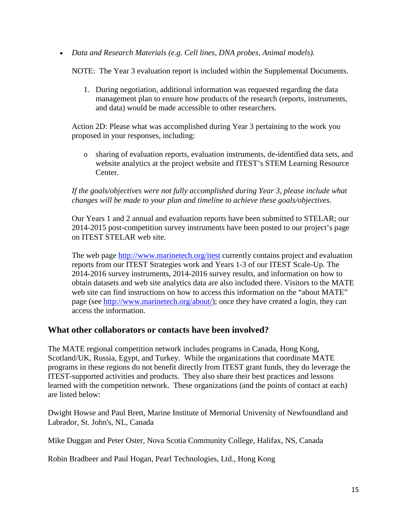• *Data and Research Materials (e.g. Cell lines, DNA probes, Animal models).* 

NOTE: The Year 3 evaluation report is included within the Supplemental Documents.

1. During negotiation, additional information was requested regarding the data management plan to ensure how products of the research (reports, instruments, and data) would be made accessible to other researchers.

Action 2D: Please what was accomplished during Year 3 pertaining to the work you proposed in your responses, including:

o sharing of evaluation reports, evaluation instruments, de-identified data sets, and website analytics at the project website and ITEST's STEM Learning Resource Center.

#### *If the goals/objectives were not fully accomplished during Year 3, please include what changes will be made to your plan and timeline to achieve these goals/objectives.*

Our Years 1 and 2 annual and evaluation reports have been submitted to STELAR; our 2014-2015 post-competition survey instruments have been posted to our project's page on ITEST STELAR web site.

The web page<http://www.marinetech.org/itest> currently contains project and evaluation reports from our ITEST Strategies work and Years 1-3 of our ITEST Scale-Up. The 2014-2016 survey instruments, 2014-2016 survey results, and information on how to obtain datasets and web site analytics data are also included there. Visitors to the MATE web site can find instructions on how to access this information on the "about MATE" page (see [http://www.marinetech.org/about/\)](http://www.marinetech.org/about/); once they have created a login, they can access the information.

#### **What other collaborators or contacts have been involved?**

The MATE regional competition network includes programs in Canada, Hong Kong, Scotland/UK, Russia, Egypt, and Turkey. While the organizations that coordinate MATE programs in these regions do not benefit directly from ITEST grant funds, they do leverage the ITEST-supported activities and products. They also share their best practices and lessons learned with the competition network. These organizations (and the points of contact at each) are listed below:

Dwight Howse and Paul Brett, Marine Institute of Memorial University of Newfoundland and Labrador, St. John's, NL, Canada

Mike Duggan and Peter Oster, Nova Scotia Community College, Halifax, NS, Canada

Robin Bradbeer and Paul Hogan, Pearl Technologies, Ltd., Hong Kong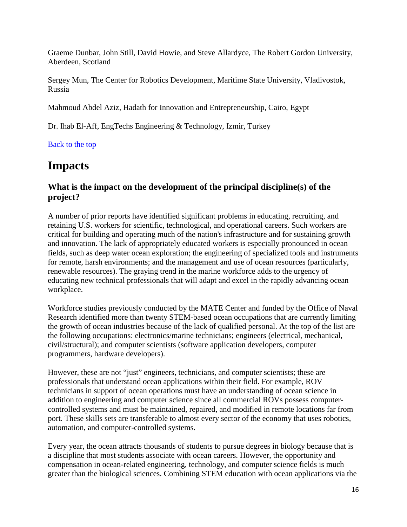Graeme Dunbar, John Still, David Howie, and Steve Allardyce, The Robert Gordon University, Aberdeen, Scotland

Sergey Mun, The Center for Robotics Development, Maritime State University, Vladivostok, Russia

Mahmoud Abdel Aziz, Hadath for Innovation and Entrepreneurship, Cairo, Egypt

Dr. Ihab El-Aff, EngTechs Engineering & Technology, Izmir, Turkey

[Back to the top](https://reporting.research.gov/rppr-web/rppr?execution=e1s32#top)

# **Impacts**

## **What is the impact on the development of the principal discipline(s) of the project?**

A number of prior reports have identified significant problems in educating, recruiting, and retaining U.S. workers for scientific, technological, and operational careers. Such workers are critical for building and operating much of the nation's infrastructure and for sustaining growth and innovation. The lack of appropriately educated workers is especially pronounced in ocean fields, such as deep water ocean exploration; the engineering of specialized tools and instruments for remote, harsh environments; and the management and use of ocean resources (particularly, renewable resources). The graying trend in the marine workforce adds to the urgency of educating new technical professionals that will adapt and excel in the rapidly advancing ocean workplace.

Workforce studies previously conducted by the MATE Center and funded by the Office of Naval Research identified more than twenty STEM-based ocean occupations that are currently limiting the growth of ocean industries because of the lack of qualified personal. At the top of the list are the following occupations: electronics/marine technicians; engineers (electrical, mechanical, civil/structural); and computer scientists (software application developers, computer programmers, hardware developers).

However, these are not "just" engineers, technicians, and computer scientists; these are professionals that understand ocean applications within their field. For example, ROV technicians in support of ocean operations must have an understanding of ocean science in addition to engineering and computer science since all commercial ROVs possess computercontrolled systems and must be maintained, repaired, and modified in remote locations far from port. These skills sets are transferable to almost every sector of the economy that uses robotics, automation, and computer-controlled systems.

Every year, the ocean attracts thousands of students to pursue degrees in biology because that is a discipline that most students associate with ocean careers. However, the opportunity and compensation in ocean-related engineering, technology, and computer science fields is much greater than the biological sciences. Combining STEM education with ocean applications via the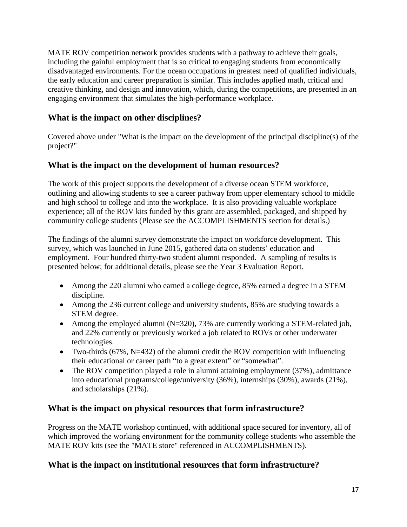MATE ROV competition network provides students with a pathway to achieve their goals, including the gainful employment that is so critical to engaging students from economically disadvantaged environments. For the ocean occupations in greatest need of qualified individuals, the early education and career preparation is similar. This includes applied math, critical and creative thinking, and design and innovation, which, during the competitions, are presented in an engaging environment that simulates the high-performance workplace.

## **What is the impact on other disciplines?**

Covered above under "What is the impact on the development of the principal discipline(s) of the project?"

## **What is the impact on the development of human resources?**

The work of this project supports the development of a diverse ocean STEM workforce, outlining and allowing students to see a career pathway from upper elementary school to middle and high school to college and into the workplace. It is also providing valuable workplace experience; all of the ROV kits funded by this grant are assembled, packaged, and shipped by community college students (Please see the ACCOMPLISHMENTS section for details.)

The findings of the alumni survey demonstrate the impact on workforce development. This survey, which was launched in June 2015, gathered data on students' education and employment. Four hundred thirty-two student alumni responded. A sampling of results is presented below; for additional details, please see the Year 3 Evaluation Report.

- Among the 220 alumni who earned a college degree, 85% earned a degree in a STEM discipline.
- Among the 236 current college and university students, 85% are studying towards a STEM degree.
- Among the employed alumni  $(N=320)$ , 73% are currently working a STEM-related job, and 22% currently or previously worked a job related to ROVs or other underwater technologies.
- Two-thirds (67%, N=432) of the alumni credit the ROV competition with influencing their educational or career path "to a great extent" or "somewhat".
- The ROV competition played a role in alumni attaining employment (37%), admittance into educational programs/college/university (36%), internships (30%), awards (21%), and scholarships (21%).

## **What is the impact on physical resources that form infrastructure?**

Progress on the MATE workshop continued, with additional space secured for inventory, all of which improved the working environment for the community college students who assemble the MATE ROV kits (see the "MATE store" referenced in ACCOMPLISHMENTS).

## **What is the impact on institutional resources that form infrastructure?**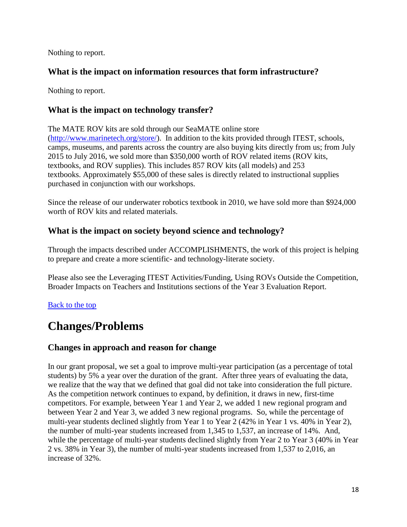Nothing to report.

## **What is the impact on information resources that form infrastructure?**

Nothing to report.

## **What is the impact on technology transfer?**

The MATE ROV kits are sold through our SeaMATE online store [\(http://www.marinetech.org/store/\)](http://www.marinetech.org/store/). In addition to the kits provided through ITEST, schools, camps, museums, and parents across the country are also buying kits directly from us; from July 2015 to July 2016, we sold more than \$350,000 worth of ROV related items (ROV kits, textbooks, and ROV supplies). This includes 857 ROV kits (all models) and 253 textbooks. Approximately \$55,000 of these sales is directly related to instructional supplies purchased in conjunction with our workshops.

Since the release of our underwater robotics textbook in 2010, we have sold more than \$924,000 worth of ROV kits and related materials.

## **What is the impact on society beyond science and technology?**

Through the impacts described under ACCOMPLISHMENTS, the work of this project is helping to prepare and create a more scientific- and technology-literate society.

Please also see the Leveraging ITEST Activities/Funding, Using ROVs Outside the Competition, Broader Impacts on Teachers and Institutions sections of the Year 3 Evaluation Report.

## [Back to the top](https://reporting.research.gov/rppr-web/rppr?execution=e1s32#top)

# **Changes/Problems**

## **Changes in approach and reason for change**

In our grant proposal, we set a goal to improve multi-year participation (as a percentage of total students) by 5% a year over the duration of the grant. After three years of evaluating the data, we realize that the way that we defined that goal did not take into consideration the full picture. As the competition network continues to expand, by definition, it draws in new, first-time competitors. For example, between Year 1 and Year 2, we added 1 new regional program and between Year 2 and Year 3, we added 3 new regional programs. So, while the percentage of multi-year students declined slightly from Year 1 to Year 2 (42% in Year 1 vs. 40% in Year 2), the number of multi-year students increased from 1,345 to 1,537, an increase of 14%. And, while the percentage of multi-year students declined slightly from Year 2 to Year 3 (40% in Year 2 vs. 38% in Year 3), the number of multi-year students increased from 1,537 to 2,016, an increase of 32%.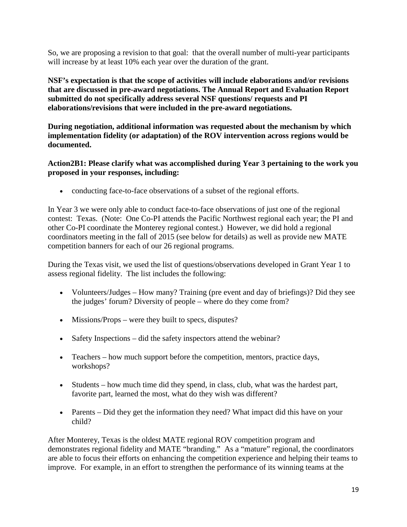So, we are proposing a revision to that goal: that the overall number of multi-year participants will increase by at least 10% each year over the duration of the grant.

**NSF's expectation is that the scope of activities will include elaborations and/or revisions that are discussed in pre-award negotiations. The Annual Report and Evaluation Report submitted do not specifically address several NSF questions/ requests and PI elaborations/revisions that were included in the pre-award negotiations.**

**During negotiation, additional information was requested about the mechanism by which implementation fidelity (or adaptation) of the ROV intervention across regions would be documented.**

**Action2B1: Please clarify what was accomplished during Year 3 pertaining to the work you proposed in your responses, including:**

• conducting face-to-face observations of a subset of the regional efforts.

In Year 3 we were only able to conduct face-to-face observations of just one of the regional contest: Texas. (Note: One Co-PI attends the Pacific Northwest regional each year; the PI and other Co-PI coordinate the Monterey regional contest.) However, we did hold a regional coordinators meeting in the fall of 2015 (see below for details) as well as provide new MATE competition banners for each of our 26 regional programs.

During the Texas visit, we used the list of questions/observations developed in Grant Year 1 to assess regional fidelity. The list includes the following:

- Volunteers/Judges How many? Training (pre event and day of briefings)? Did they see the judges' forum? Diversity of people – where do they come from?
- Missions/Props were they built to specs, disputes?
- Safety Inspections did the safety inspectors attend the webinar?
- Teachers how much support before the competition, mentors, practice days, workshops?
- Students how much time did they spend, in class, club, what was the hardest part, favorite part, learned the most, what do they wish was different?
- Parents Did they get the information they need? What impact did this have on your child?

After Monterey, Texas is the oldest MATE regional ROV competition program and demonstrates regional fidelity and MATE "branding." As a "mature" regional, the coordinators are able to focus their efforts on enhancing the competition experience and helping their teams to improve. For example, in an effort to strengthen the performance of its winning teams at the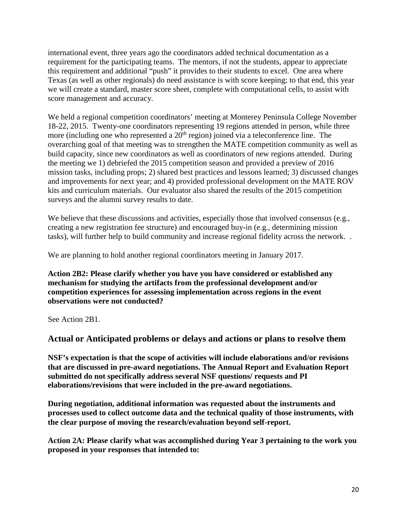international event, three years ago the coordinators added technical documentation as a requirement for the participating teams. The mentors, if not the students, appear to appreciate this requirement and additional "push" it provides to their students to excel. One area where Texas (as well as other regionals) do need assistance is with score keeping; to that end, this year we will create a standard, master score sheet, complete with computational cells, to assist with score management and accuracy.

We held a regional competition coordinators' meeting at Monterey Peninsula College November 18-22, 2015. Twenty-one coordinators representing 19 regions attended in person, while three more (including one who represented a  $20<sup>th</sup>$  region) joined via a teleconference line. The overarching goal of that meeting was to strengthen the MATE competition community as well as build capacity, since new coordinators as well as coordinators of new regions attended. During the meeting we 1) debriefed the 2015 competition season and provided a preview of 2016 mission tasks, including props; 2) shared best practices and lessons learned; 3) discussed changes and improvements for next year; and 4) provided professional development on the MATE ROV kits and curriculum materials. Our evaluator also shared the results of the 2015 competition surveys and the alumni survey results to date.

We believe that these discussions and activities, especially those that involved consensus (e.g., creating a new registration fee structure) and encouraged buy-in (e.g., determining mission tasks), will further help to build community and increase regional fidelity across the network. .

We are planning to hold another regional coordinators meeting in January 2017.

**Action 2B2: Please clarify whether you have you have considered or established any mechanism for studying the artifacts from the professional development and/or competition experiences for assessing implementation across regions in the event observations were not conducted?**

See Action 2B1.

**Actual or Anticipated problems or delays and actions or plans to resolve them**

**NSF's expectation is that the scope of activities will include elaborations and/or revisions that are discussed in pre-award negotiations. The Annual Report and Evaluation Report submitted do not specifically address several NSF questions/ requests and PI elaborations/revisions that were included in the pre-award negotiations.**

**During negotiation, additional information was requested about the instruments and processes used to collect outcome data and the technical quality of those instruments, with the clear purpose of moving the research/evaluation beyond self-report.**

**Action 2A: Please clarify what was accomplished during Year 3 pertaining to the work you proposed in your responses that intended to:**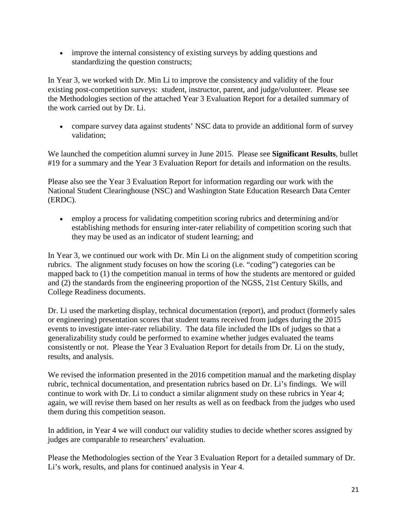• improve the internal consistency of existing surveys by adding questions and standardizing the question constructs;

In Year 3, we worked with Dr. Min Li to improve the consistency and validity of the four existing post-competition surveys: student, instructor, parent, and judge/volunteer. Please see the Methodologies section of the attached Year 3 Evaluation Report for a detailed summary of the work carried out by Dr. Li.

• compare survey data against students' NSC data to provide an additional form of survey validation;

We launched the competition alumni survey in June 2015. Please see **Significant Results**, bullet #19 for a summary and the Year 3 Evaluation Report for details and information on the results.

Please also see the Year 3 Evaluation Report for information regarding our work with the National Student Clearinghouse (NSC) and Washington State Education Research Data Center (ERDC).

• employ a process for validating competition scoring rubrics and determining and/or establishing methods for ensuring inter-rater reliability of competition scoring such that they may be used as an indicator of student learning; and

In Year 3, we continued our work with Dr. Min Li on the alignment study of competition scoring rubrics. The alignment study focuses on how the scoring (i.e. "coding") categories can be mapped back to (1) the competition manual in terms of how the students are mentored or guided and (2) the standards from the engineering proportion of the NGSS, 21st Century Skills, and College Readiness documents.

Dr. Li used the marketing display, technical documentation (report), and product (formerly sales or engineering) presentation scores that student teams received from judges during the 2015 events to investigate inter-rater reliability. The data file included the IDs of judges so that a generalizability study could be performed to examine whether judges evaluated the teams consistently or not. Please the Year 3 Evaluation Report for details from Dr. Li on the study, results, and analysis.

We revised the information presented in the 2016 competition manual and the marketing display rubric, technical documentation, and presentation rubrics based on Dr. Li's findings. We will continue to work with Dr. Li to conduct a similar alignment study on these rubrics in Year 4; again, we will revise them based on her results as well as on feedback from the judges who used them during this competition season.

In addition, in Year 4 we will conduct our validity studies to decide whether scores assigned by judges are comparable to researchers' evaluation.

Please the Methodologies section of the Year 3 Evaluation Report for a detailed summary of Dr. Li's work, results, and plans for continued analysis in Year 4.